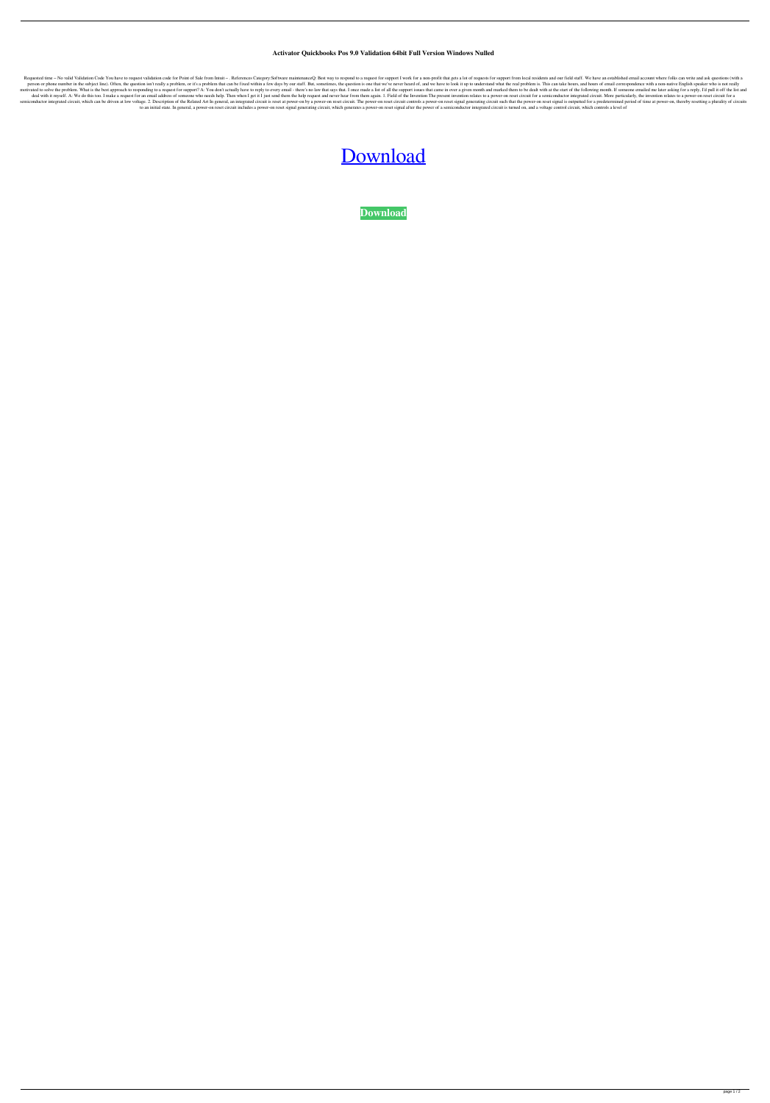## **Activator Quickbooks Pos 9.0 Validation 64bit Full Version Windows Nulled**

Requested time - No valid Validation Code You have to request validation code for Point of Sale from Intuit -. References Category:Software maintenanceQ: Best way to respond to a request for support I work for a non-profit person or phone number in the subject line). Often, the question isn't really a problem, or it's a problem, or it's a problem that can be fixed within a few days by our staff. But, sometimes, the question is one that we've motivated to solve the problem. What is the best approach to responding to a request for support? A: You don't actually have to reply to every email - there's no law that says that. I once made a list of all the support is deal with it myself. A: We do this too. I make a request for an email address of someone who needs help. Then when I get it I just send them the help request and never hear from them again. 1. Field of the Invention relate semiconductor integrated circuit, which can be driven at low voltage. 2. Description of the Related Art In general, an integrated circuit is reset at power-on reset circuit. The power-on reset circuit controls a power-on r to an initial state. In general, a power-on reset circuit includes a power-on reset signal generating circuit, which generates a power-on reset signal after the power of a semiconductor integrated circuit is turned on, and

## [Download](http://evacdir.com/anachronism/UXVpY2tib29rcyBQb3MgOS4wIFZhbGlkYXRpb24gQ29kZQUXV.asparagine.flimsy/kauchabeej?playsforsure=skidding&ZG93bmxvYWR8WDNFTW14emFYeDhNVFkxTWpjME1EZzJObng4TWpVM05IeDhLRTBwSUhKbFlXUXRZbXh2WnlCYlJtRnpkQ0JIUlU1ZA=everlast)

**[Download](http://evacdir.com/anachronism/UXVpY2tib29rcyBQb3MgOS4wIFZhbGlkYXRpb24gQ29kZQUXV.asparagine.flimsy/kauchabeej?playsforsure=skidding&ZG93bmxvYWR8WDNFTW14emFYeDhNVFkxTWpjME1EZzJObng4TWpVM05IeDhLRTBwSUhKbFlXUXRZbXh2WnlCYlJtRnpkQ0JIUlU1ZA=everlast)**